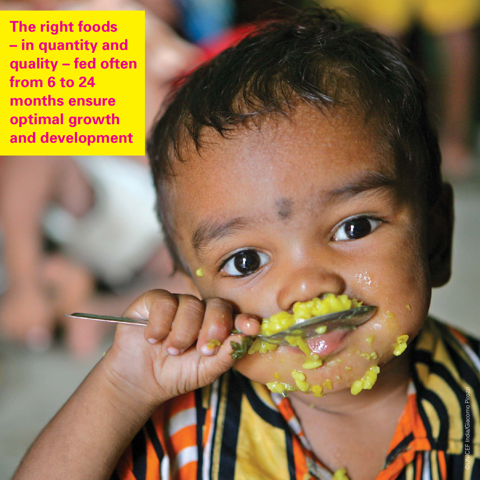**The right foods – in quantity and quality – fed often from 6 to 24 months ensure optimal growth and development**